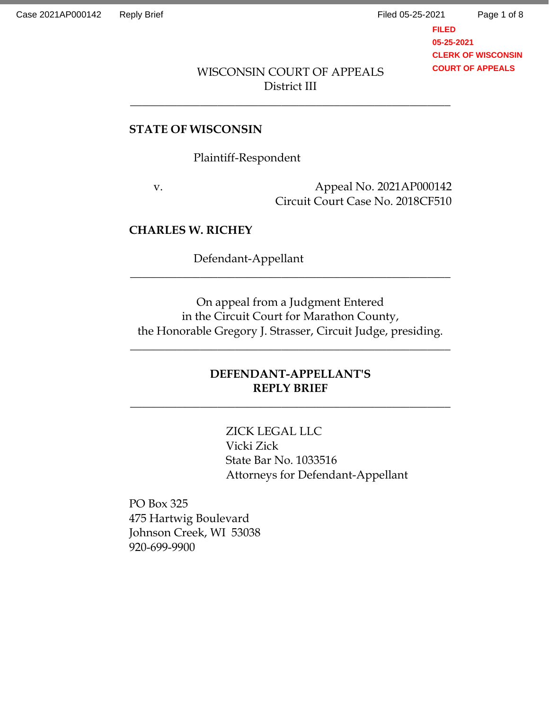Page 1 of 8

**FILED 05-25-2021 CLERK OF WISCONSIN COURT OF APPEALS**

# WISCONSIN COURT OF APPEALS District III

\_\_\_\_\_\_\_\_\_\_\_\_\_\_\_\_\_\_\_\_\_\_\_\_\_\_\_\_\_\_\_\_\_\_\_\_\_\_\_\_\_\_\_\_\_\_\_\_\_\_\_\_\_\_\_

### **STATE OF WISCONSIN**

Plaintiff-Respondent

v. Appeal No. 2021AP000142 Circuit Court Case No. 2018CF510

### **CHARLES W. RICHEY**

Defendant-Appellant

On appeal from a Judgment Entered in the Circuit Court for Marathon County, the Honorable Gregory J. Strasser, Circuit Judge, presiding.

 $\overline{\phantom{a}}$  ,  $\overline{\phantom{a}}$  ,  $\overline{\phantom{a}}$  ,  $\overline{\phantom{a}}$  ,  $\overline{\phantom{a}}$  ,  $\overline{\phantom{a}}$  ,  $\overline{\phantom{a}}$  ,  $\overline{\phantom{a}}$  ,  $\overline{\phantom{a}}$  ,  $\overline{\phantom{a}}$  ,  $\overline{\phantom{a}}$  ,  $\overline{\phantom{a}}$  ,  $\overline{\phantom{a}}$  ,  $\overline{\phantom{a}}$  ,  $\overline{\phantom{a}}$  ,  $\overline{\phantom{a}}$ 

\_\_\_\_\_\_\_\_\_\_\_\_\_\_\_\_\_\_\_\_\_\_\_\_\_\_\_\_\_\_\_\_\_\_\_\_\_\_\_\_\_\_\_\_\_\_\_\_\_\_\_\_\_\_\_

# **DEFENDANT-APPELLANT'S REPLY BRIEF**

 $\overline{\phantom{a}}$  ,  $\overline{\phantom{a}}$  ,  $\overline{\phantom{a}}$  ,  $\overline{\phantom{a}}$  ,  $\overline{\phantom{a}}$  ,  $\overline{\phantom{a}}$  ,  $\overline{\phantom{a}}$  ,  $\overline{\phantom{a}}$  ,  $\overline{\phantom{a}}$  ,  $\overline{\phantom{a}}$  ,  $\overline{\phantom{a}}$  ,  $\overline{\phantom{a}}$  ,  $\overline{\phantom{a}}$  ,  $\overline{\phantom{a}}$  ,  $\overline{\phantom{a}}$  ,  $\overline{\phantom{a}}$ 

ZICK LEGAL LLC Vicki Zick State Bar No. 1033516 Attorneys for Defendant-Appellant

PO Box 325 475 Hartwig Boulevard Johnson Creek, WI 53038 920-699-9900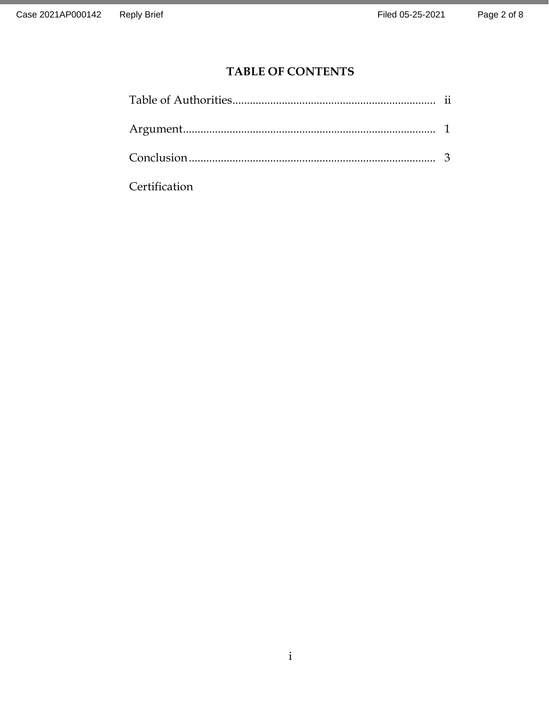# **TABLE OF CONTENTS**

**Certification**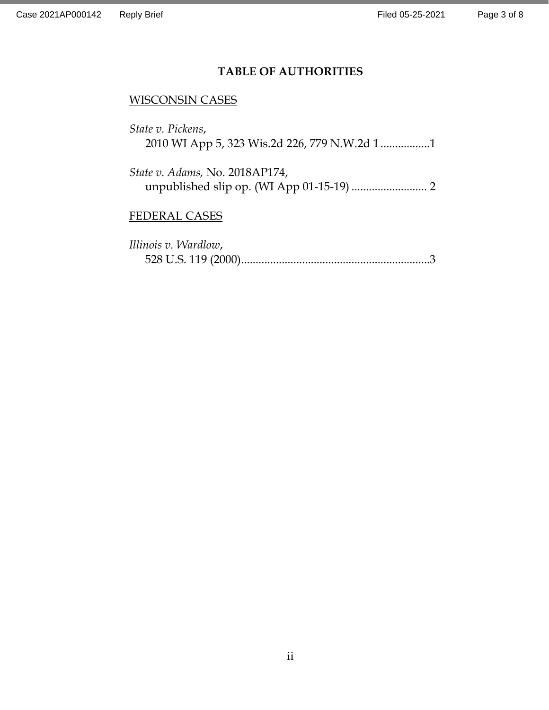# **TABLE OF AUTHORITIES**

# WISCONSIN CASES

| State v. Pickens, |  |  |
|-------------------|--|--|
|                   |  |  |

*State v. Adams,* No. 2018AP174, unpublished slip op. (WI App 01-15-19) .......................... 2

# FEDERAL CASES

| Illinois v. Wardlow, |  |
|----------------------|--|
|                      |  |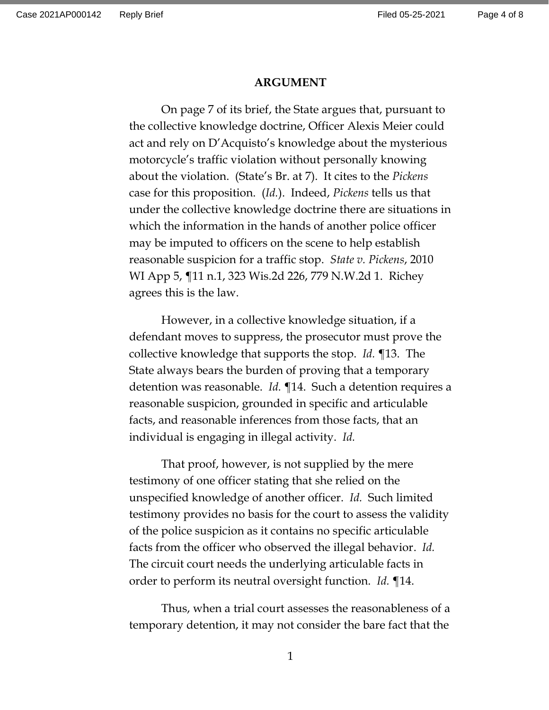#### **ARGUMENT**

On page 7 of its brief, the State argues that, pursuant to the collective knowledge doctrine, Officer Alexis Meier could act and rely on D'Acquisto's knowledge about the mysterious motorcycle's traffic violation without personally knowing about the violation. (State's Br. at 7). It cites to the *Pickens*  case for this proposition. (*Id.*). Indeed, *Pickens* tells us that under the collective knowledge doctrine there are situations in which the information in the hands of another police officer may be imputed to officers on the scene to help establish reasonable suspicion for a traffic stop. *State v. Pickens*, 2010 WI App 5, ¶11 n.1, 323 Wis.2d 226, 779 N.W.2d 1. Richey agrees this is the law.

However, in a collective knowledge situation, if a defendant moves to suppress, the prosecutor must prove the collective knowledge that supports the stop. *Id.* ¶13. The State always bears the burden of proving that a temporary detention was reasonable. *Id.* ¶14. Such a detention requires a reasonable suspicion, grounded in specific and articulable facts, and reasonable inferences from those facts, that an individual is engaging in illegal activity. *Id.*

That proof, however, is not supplied by the mere testimony of one officer stating that she relied on the unspecified knowledge of another officer. *Id.* Such limited testimony provides no basis for the court to assess the validity of the police suspicion as it contains no specific articulable facts from the officer who observed the illegal behavior. *Id.* The circuit court needs the underlying articulable facts in order to perform its neutral oversight function. *Id.* ¶14.

Thus, when a trial court assesses the reasonableness of a temporary detention, it may not consider the bare fact that the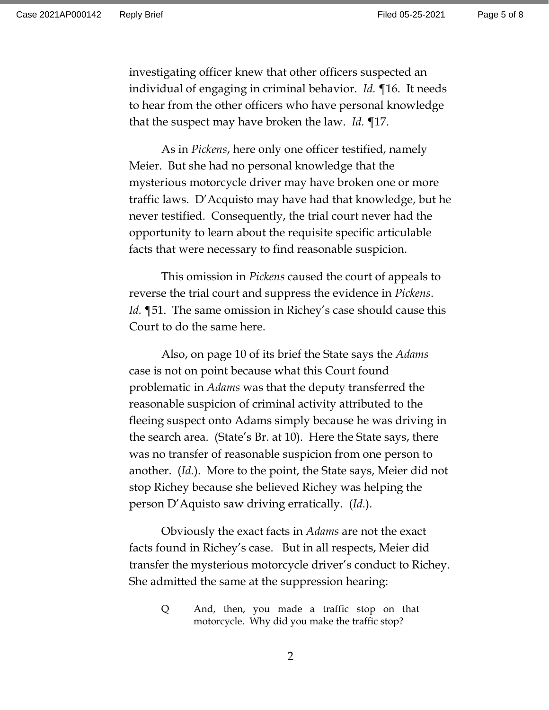Page 5 of 8

investigating officer knew that other officers suspected an individual of engaging in criminal behavior. *Id.* ¶16. It needs to hear from the other officers who have personal knowledge that the suspect may have broken the law. *Id.* ¶17.

As in *Pickens*, here only one officer testified, namely Meier. But she had no personal knowledge that the mysterious motorcycle driver may have broken one or more traffic laws. D'Acquisto may have had that knowledge, but he never testified. Consequently, the trial court never had the opportunity to learn about the requisite specific articulable facts that were necessary to find reasonable suspicion.

This omission in *Pickens* caused the court of appeals to reverse the trial court and suppress the evidence in *Pickens*. *Id.* ¶51. The same omission in Richey's case should cause this Court to do the same here.

Also, on page 10 of its brief the State says the *Adams* case is not on point because what this Court found problematic in *Adams* was that the deputy transferred the reasonable suspicion of criminal activity attributed to the fleeing suspect onto Adams simply because he was driving in the search area. (State's Br. at 10). Here the State says, there was no transfer of reasonable suspicion from one person to another. (*Id.*). More to the point, the State says, Meier did not stop Richey because she believed Richey was helping the person D'Aquisto saw driving erratically. (*Id.*).

Obviously the exact facts in *Adams* are not the exact facts found in Richey's case. But in all respects, Meier did transfer the mysterious motorcycle driver's conduct to Richey. She admitted the same at the suppression hearing:

Q And, then, you made a traffic stop on that motorcycle. Why did you make the traffic stop?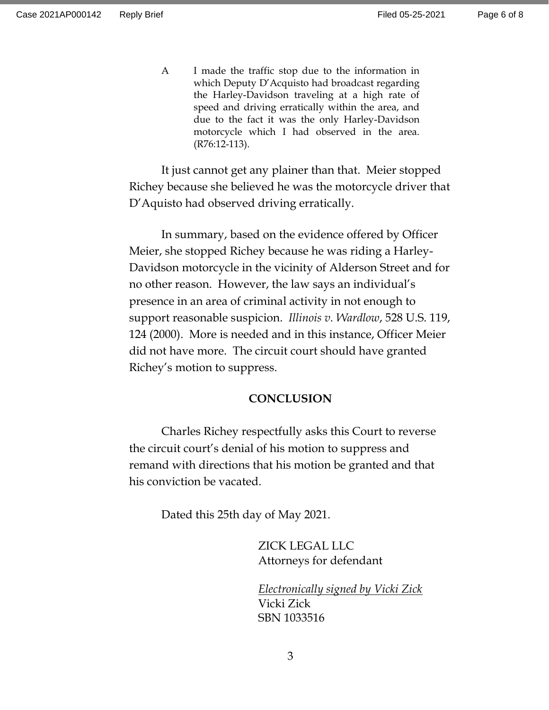A I made the traffic stop due to the information in which Deputy D'Acquisto had broadcast regarding the Harley-Davidson traveling at a high rate of speed and driving erratically within the area, and due to the fact it was the only Harley-Davidson motorcycle which I had observed in the area. (R76:12-113).

It just cannot get any plainer than that. Meier stopped Richey because she believed he was the motorcycle driver that D'Aquisto had observed driving erratically.

In summary, based on the evidence offered by Officer Meier, she stopped Richey because he was riding a Harley-Davidson motorcycle in the vicinity of Alderson Street and for no other reason. However, the law says an individual's presence in an area of criminal activity in not enough to support reasonable suspicion. *Illinois v. Wardlow*, 528 U.S. 119, 124 (2000). More is needed and in this instance, Officer Meier did not have more. The circuit court should have granted Richey's motion to suppress.

#### **CONCLUSION**

Charles Richey respectfully asks this Court to reverse the circuit court's denial of his motion to suppress and remand with directions that his motion be granted and that his conviction be vacated.

Dated this 25th day of May 2021.

ZICK LEGAL LLC Attorneys for defendant

*Electronically signed by Vicki Zick* Vicki Zick SBN 1033516

3

Page 6 of 8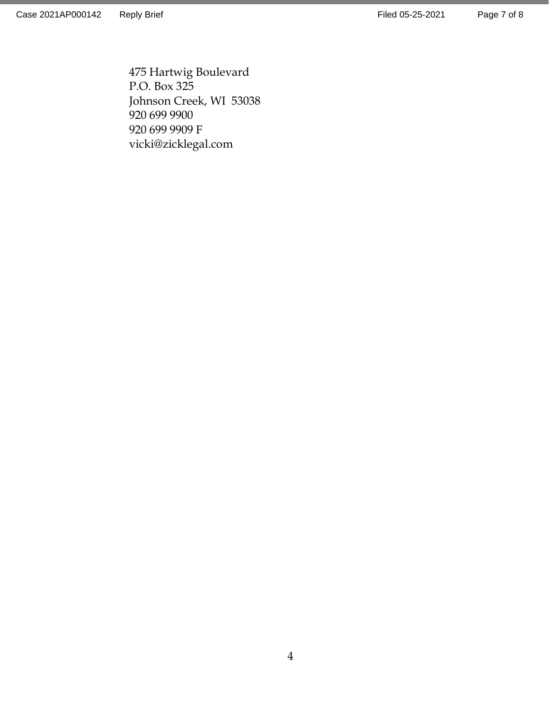Page 7 of 8

475 Hartwig Boulevard P.O. Box 325 Johnson Creek, WI 53038 920 699 9900 920 699 9909 F vicki@zicklegal.com